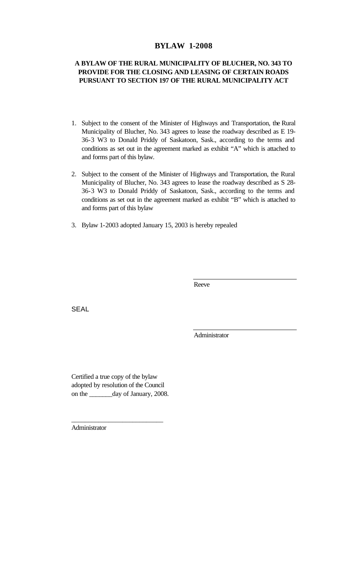# **BYLAW 1-2008**

# **A BYLAW OF THE RURAL MUNICIPALITY OF BLUCHER, NO. 343 TO PROVIDE FOR THE CLOSING AND LEASING OF CERTAIN ROADS PURSUANT TO SECTION 197 OF THE RURAL MUNICIPALITY ACT**

- 1. Subject to the consent of the Minister of Highways and Transportation, the Rural Municipality of Blucher, No. 343 agrees to lease the roadway described as E 19- 36-3 W3 to Donald Priddy of Saskatoon, Sask., according to the terms and conditions as set out in the agreement marked as exhibit "A" which is attached to and forms part of this bylaw.
- 2. Subject to the consent of the Minister of Highways and Transportation, the Rural Municipality of Blucher, No. 343 agrees to lease the roadway described as S 28- 36-3 W3 to Donald Priddy of Saskatoon, Sask., according to the terms and conditions as set out in the agreement marked as exhibit "B" which is attached to and forms part of this bylaw
- 3. Bylaw 1-2003 adopted January 15, 2003 is hereby repealed

Reeve

**SEAL** 

Administrator

Certified a true copy of the bylaw adopted by resolution of the Council on the \_\_\_\_\_\_\_day of January, 2008.

\_\_\_\_\_\_\_\_\_\_\_\_\_\_\_\_\_\_\_\_\_\_\_\_\_\_\_

Administrator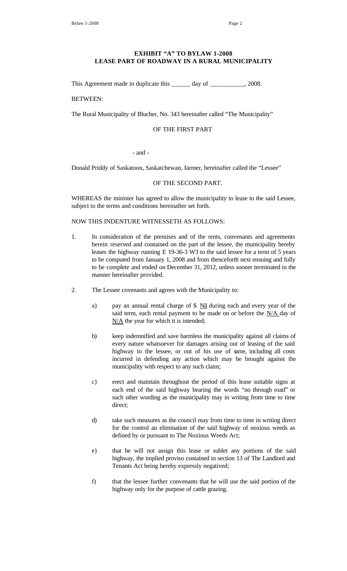## **EXHIBIT "A" TO BYLAW 1-2008 LEASE PART OF ROADWAY IN A RURAL MUNICIPALITY**

This Agreement made in duplicate this \_\_\_\_\_\_ day of \_\_\_\_\_\_\_\_\_\_, 2008.

#### BETWEEN:

The Rural Municipality of Blucher, No. 343 hereinafter called "The Municipality"

#### OF THE FIRST PART

- and -

Donald Priddy of Saskatoon, Saskatchewan, farmer, hereinafter called the "Lessee"

### OF THE SECOND PART.

WHEREAS the minister has agreed to allow the municipality to lease to the said Lessee, subject to the terms and conditions hereinafter set forth.

#### NOW THIS INDENTURE WITNESSETH AS FOLLOWS:

- 1. In consideration of the premises and of the rents, convenants and agreements herein reserved and contained on the part of the lessee, the municipality hereby leases the highway running E 19-36-3 W3 to the said lessee for a term of 5 years to be computed from January 1, 2008 and from thenceforth next ensuing and fully to be complete and ended on December 31, 2012, unless sooner terminated in the manner hereinafter provided.
- 2. The Lessee covenants and agrees with the Municipality to:
	- a) pay an annual rental charge of \$ Nil during each and every year of the said term, each rental payment to be made on or before the N/A day of N/A the year for which it is intended;
	- b) keep indemnified and save harmless the municipality against all claims of every nature whatsoever for damages arising out of leasing of the said highway to the lessee, or out of his use of same, including all costs incurred in defending any action which may be brought against the municipality with respect to any such claim;
	- c) erect and maintain throughout the period of this lease suitable signs at each end of the said highway bearing the words "no through road" or such other wording as the municipality may in writing from time to time direct;
	- d) take such measures as the council may from time to time in writing direct for the control an elimination of the said highway of noxious weeds as defined by or pursuant to The Noxious Weeds Act;
	- e) that he will not assign this lease or sublet any portions of the said highway, the implied proviso contained in section 13 of The Landlord and Tenants Act being hereby expressly negatived;
	- f) that the lessee further convenants that he will use the said portion of the highway only for the purpose of cattle grazing.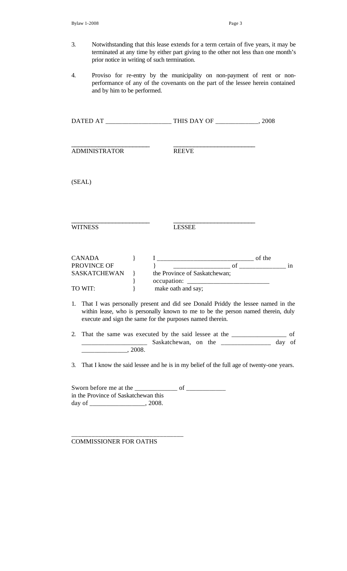- 3. Notwithstanding that this lease extends for a term certain of five years, it may be terminated at any time by either part giving to the other not less than one month's prior notice in writing of such termination.
- 4. Proviso for re-entry by the municipality on non-payment of rent or nonperformance of any of the covenants on the part of the lessee herein contained and by him to be performed.

|  | <b>ADMINISTRATOR</b>                    |                   |        | <b>REEVE</b>                                                                                                                                                                                                                        |  |  |  |
|--|-----------------------------------------|-------------------|--------|-------------------------------------------------------------------------------------------------------------------------------------------------------------------------------------------------------------------------------------|--|--|--|
|  | (SEAL)                                  |                   |        |                                                                                                                                                                                                                                     |  |  |  |
|  | <b>WITNESS</b>                          |                   |        | <b>LESSEE</b>                                                                                                                                                                                                                       |  |  |  |
|  | <b>CANADA</b><br>PROVINCE OF<br>TO WIT: | $\}$<br>$\}$<br>} | $\{\}$ | SASKATCHEWAN } the Province of Saskatchewan;<br>make oath and say;                                                                                                                                                                  |  |  |  |
|  |                                         |                   |        | 1. That I was personally present and did see Donald Priddy the lessee named in the<br>within lease, who is personally known to me to be the person named therein, duly<br>execute and sign the same for the purposes named therein. |  |  |  |
|  | $\sim$ 2008.                            |                   |        | 2. That the same was executed by the said lessee at the _______________ of<br>Saskatchewan, on the ______________ day of                                                                                                            |  |  |  |
|  |                                         |                   |        | 3. That I know the said lessee and he is in my belief of the full age of twenty-one years.                                                                                                                                          |  |  |  |
|  | in the Province of Saskatchewan this    |                   |        |                                                                                                                                                                                                                                     |  |  |  |

COMMISSIONER FOR OATHS

\_\_\_\_\_\_\_\_\_\_\_\_\_\_\_\_\_\_\_\_\_\_\_\_\_\_\_\_\_\_\_\_\_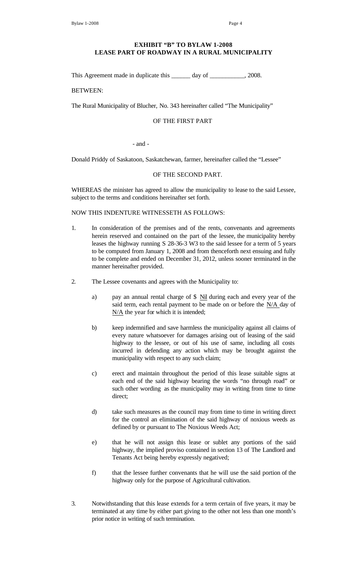## **EXHIBIT "B" TO BYLAW 1-2008 LEASE PART OF ROADWAY IN A RURAL MUNICIPALITY**

This Agreement made in duplicate this \_\_\_\_\_\_ day of \_\_\_\_\_\_\_\_\_, 2008.

BETWEEN:

The Rural Municipality of Blucher, No. 343 hereinafter called "The Municipality"

### OF THE FIRST PART

#### - and -

Donald Priddy of Saskatoon, Saskatchewan, farmer, hereinafter called the "Lessee"

### OF THE SECOND PART.

WHEREAS the minister has agreed to allow the municipality to lease to the said Lessee, subject to the terms and conditions hereinafter set forth.

NOW THIS INDENTURE WITNESSETH AS FOLLOWS:

- 1. In consideration of the premises and of the rents, convenants and agreements herein reserved and contained on the part of the lessee, the municipality hereby leases the highway running S 28-36-3 W3 to the said lessee for a term of 5 years to be computed from January 1, 2008 and from thenceforth next ensuing and fully to be complete and ended on December 31, 2012, unless sooner terminated in the manner hereinafter provided.
- 2. The Lessee covenants and agrees with the Municipality to:
	- a) pay an annual rental charge of  $\frac{\pi}{2}$  Nil during each and every year of the said term, each rental payment to be made on or before the N/A day of N/A the year for which it is intended;
	- b) keep indemnified and save harmless the municipality against all claims of every nature whatsoever for damages arising out of leasing of the said highway to the lessee, or out of his use of same, including all costs incurred in defending any action which may be brought against the municipality with respect to any such claim;
	- c) erect and maintain throughout the period of this lease suitable signs at each end of the said highway bearing the words "no through road" or such other wording as the municipality may in writing from time to time direct:
	- d) take such measures as the council may from time to time in writing direct for the control an elimination of the said highway of noxious weeds as defined by or pursuant to The Noxious Weeds Act;
	- e) that he will not assign this lease or sublet any portions of the said highway, the implied proviso contained in section 13 of The Landlord and Tenants Act being hereby expressly negatived;
	- f) that the lessee further convenants that he will use the said portion of the highway only for the purpose of Agricultural cultivation.
- 3. Notwithstanding that this lease extends for a term certain of five years, it may be terminated at any time by either part giving to the other not less than one month's prior notice in writing of such termination.